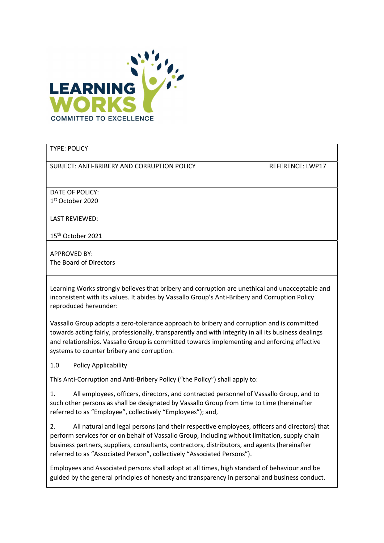

#### TYPE: POLICY

SUBJECT: ANTI-BRIBERY AND CORRUPTION POLICY REFERENCE: LWP17

DATE OF POLICY: 1 st October 2020

LAST REVIEWED:

15th October 2021

APPROVED BY: The Board of Directors

Learning Works strongly believes that bribery and corruption are unethical and unacceptable and inconsistent with its values. It abides by Vassallo Group's Anti-Bribery and Corruption Policy reproduced hereunder:

Vassallo Group adopts a zero-tolerance approach to bribery and corruption and is committed towards acting fairly, professionally, transparently and with integrity in all its business dealings and relationships. Vassallo Group is committed towards implementing and enforcing effective systems to counter bribery and corruption.

1.0 Policy Applicability

This Anti-Corruption and Anti-Bribery Policy ("the Policy") shall apply to:

1. All employees, officers, directors, and contracted personnel of Vassallo Group, and to such other persons as shall be designated by Vassallo Group from time to time (hereinafter referred to as "Employee", collectively "Employees"); and,

2. All natural and legal persons (and their respective employees, officers and directors) that perform services for or on behalf of Vassallo Group, including without limitation, supply chain business partners, suppliers, consultants, contractors, distributors, and agents (hereinafter referred to as "Associated Person", collectively "Associated Persons").

Employees and Associated persons shall adopt at all times, high standard of behaviour and be guided by the general principles of honesty and transparency in personal and business conduct.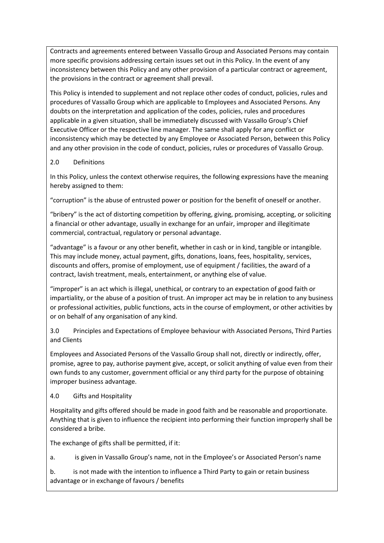Contracts and agreements entered between Vassallo Group and Associated Persons may contain more specific provisions addressing certain issues set out in this Policy. In the event of any inconsistency between this Policy and any other provision of a particular contract or agreement, the provisions in the contract or agreement shall prevail.

This Policy is intended to supplement and not replace other codes of conduct, policies, rules and procedures of Vassallo Group which are applicable to Employees and Associated Persons. Any doubts on the interpretation and application of the codes, policies, rules and procedures applicable in a given situation, shall be immediately discussed with Vassallo Group's Chief Executive Officer or the respective line manager. The same shall apply for any conflict or inconsistency which may be detected by any Employee or Associated Person, between this Policy and any other provision in the code of conduct, policies, rules or procedures of Vassallo Group.

#### 2.0 Definitions

In this Policy, unless the context otherwise requires, the following expressions have the meaning hereby assigned to them:

"corruption" is the abuse of entrusted power or position for the benefit of oneself or another.

"bribery" is the act of distorting competition by offering, giving, promising, accepting, or soliciting a financial or other advantage, usually in exchange for an unfair, improper and illegitimate commercial, contractual, regulatory or personal advantage.

"advantage" is a favour or any other benefit, whether in cash or in kind, tangible or intangible. This may include money, actual payment, gifts, donations, loans, fees, hospitality, services, discounts and offers, promise of employment, use of equipment / facilities, the award of a contract, lavish treatment, meals, entertainment, or anything else of value.

"improper" is an act which is illegal, unethical, or contrary to an expectation of good faith or impartiality, or the abuse of a position of trust. An improper act may be in relation to any business or professional activities, public functions, acts in the course of employment, or other activities by or on behalf of any organisation of any kind.

3.0 Principles and Expectations of Employee behaviour with Associated Persons, Third Parties and Clients

Employees and Associated Persons of the Vassallo Group shall not, directly or indirectly, offer, promise, agree to pay, authorise payment give, accept, or solicit anything of value even from their own funds to any customer, government official or any third party for the purpose of obtaining improper business advantage.

#### 4.0 Gifts and Hospitality

Hospitality and gifts offered should be made in good faith and be reasonable and proportionate. Anything that is given to influence the recipient into performing their function improperly shall be considered a bribe.

The exchange of gifts shall be permitted, if it:

a. is given in Vassallo Group's name, not in the Employee's or Associated Person's name

b. is not made with the intention to influence a Third Party to gain or retain business advantage or in exchange of favours / benefits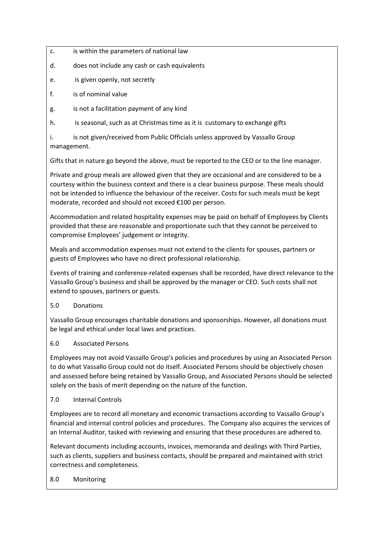- c. is within the parameters of national law
- d. does not include any cash or cash equivalents
- e. is given openly, not secretly
- f. is of nominal value
- g. is not a facilitation payment of any kind
- h. is seasonal, such as at Christmas time as it is customary to exchange gifts

i. is not given/received from Public Officials unless approved by Vassallo Group management.

Gifts that in nature go beyond the above, must be reported to the CEO or to the line manager.

Private and group meals are allowed given that they are occasional and are considered to be a courtesy within the business context and there is a clear business purpose. These meals should not be intended to influence the behaviour of the receiver. Costs for such meals must be kept moderate, recorded and should not exceed €100 per person.

Accommodation and related hospitality expenses may be paid on behalf of Employees by Clients provided that these are reasonable and proportionate such that they cannot be perceived to compromise Employees' judgement or integrity.

Meals and accommodation expenses must not extend to the clients for spouses, partners or guests of Employees who have no direct professional relationship.

Events of training and conference-related expenses shall be recorded, have direct relevance to the Vassallo Group's business and shall be approved by the manager or CEO. Such costs shall not extend to spouses, partners or guests.

## 5.0 Donations

Vassallo Group encourages charitable donations and sponsorships. However, all donations must be legal and ethical under local laws and practices.

## 6.0 Associated Persons

Employees may not avoid Vassallo Group's policies and procedures by using an Associated Person to do what Vassallo Group could not do itself. Associated Persons should be objectively chosen and assessed before being retained by Vassallo Group, and Associated Persons should be selected solely on the basis of merit depending on the nature of the function.

## 7.0 Internal Controls

Employees are to record all monetary and economic transactions according to Vassallo Group's financial and internal control policies and procedures. The Company also acquires the services of an Internal Auditor, tasked with reviewing and ensuring that these procedures are adhered to.

Relevant documents including accounts, invoices, memoranda and dealings with Third Parties, such as clients, suppliers and business contacts, should be prepared and maintained with strict correctness and completeness.

## 8.0 Monitoring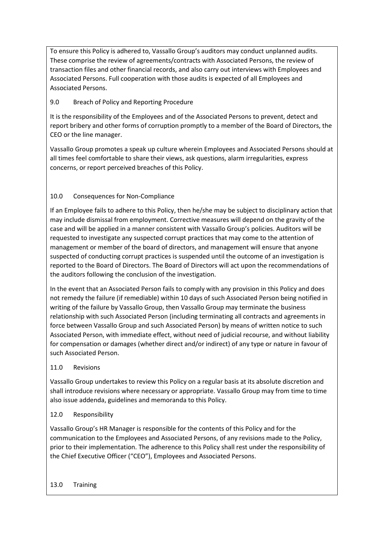To ensure this Policy is adhered to, Vassallo Group's auditors may conduct unplanned audits. These comprise the review of agreements/contracts with Associated Persons, the review of transaction files and other financial records, and also carry out interviews with Employees and Associated Persons. Full cooperation with those audits is expected of all Employees and Associated Persons.

## 9.0 Breach of Policy and Reporting Procedure

It is the responsibility of the Employees and of the Associated Persons to prevent, detect and report bribery and other forms of corruption promptly to a member of the Board of Directors, the CEO or the line manager.

Vassallo Group promotes a speak up culture wherein Employees and Associated Persons should at all times feel comfortable to share their views, ask questions, alarm irregularities, express concerns, or report perceived breaches of this Policy.

# 10.0 Consequences for Non-Compliance

If an Employee fails to adhere to this Policy, then he/she may be subject to disciplinary action that may include dismissal from employment. Corrective measures will depend on the gravity of the case and will be applied in a manner consistent with Vassallo Group's policies. Auditors will be requested to investigate any suspected corrupt practices that may come to the attention of management or member of the board of directors, and management will ensure that anyone suspected of conducting corrupt practices is suspended until the outcome of an investigation is reported to the Board of Directors. The Board of Directors will act upon the recommendations of the auditors following the conclusion of the investigation.

In the event that an Associated Person fails to comply with any provision in this Policy and does not remedy the failure (if remediable) within 10 days of such Associated Person being notified in writing of the failure by Vassallo Group, then Vassallo Group may terminate the business relationship with such Associated Person (including terminating all contracts and agreements in force between Vassallo Group and such Associated Person) by means of written notice to such Associated Person, with immediate effect, without need of judicial recourse, and without liability for compensation or damages (whether direct and/or indirect) of any type or nature in favour of such Associated Person.

## 11.0 Revisions

Vassallo Group undertakes to review this Policy on a regular basis at its absolute discretion and shall introduce revisions where necessary or appropriate. Vassallo Group may from time to time also issue addenda, guidelines and memoranda to this Policy.

## 12.0 Responsibility

Vassallo Group's HR Manager is responsible for the contents of this Policy and for the communication to the Employees and Associated Persons, of any revisions made to the Policy, prior to their implementation. The adherence to this Policy shall rest under the responsibility of the Chief Executive Officer ("CEO"), Employees and Associated Persons.

#### 13.0 Training